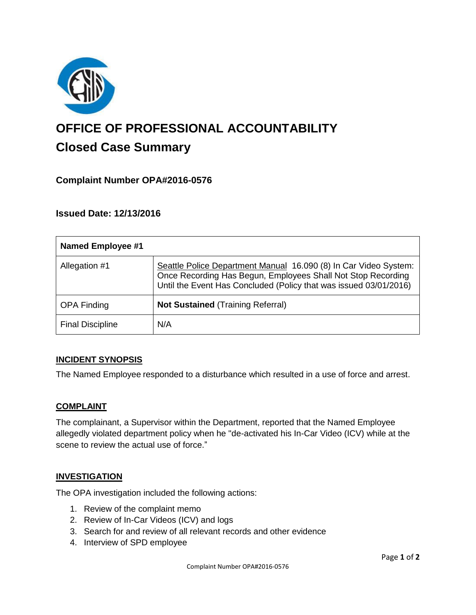

# **OFFICE OF PROFESSIONAL ACCOUNTABILITY Closed Case Summary**

# **Complaint Number OPA#2016-0576**

## **Issued Date: 12/13/2016**

| <b>Named Employee #1</b> |                                                                                                                                                                                                       |
|--------------------------|-------------------------------------------------------------------------------------------------------------------------------------------------------------------------------------------------------|
| Allegation #1            | Seattle Police Department Manual 16.090 (8) In Car Video System:<br>Once Recording Has Begun, Employees Shall Not Stop Recording<br>Until the Event Has Concluded (Policy that was issued 03/01/2016) |
| <b>OPA Finding</b>       | <b>Not Sustained (Training Referral)</b>                                                                                                                                                              |
| <b>Final Discipline</b>  | N/A                                                                                                                                                                                                   |

#### **INCIDENT SYNOPSIS**

The Named Employee responded to a disturbance which resulted in a use of force and arrest.

#### **COMPLAINT**

The complainant, a Supervisor within the Department, reported that the Named Employee allegedly violated department policy when he "de-activated his In-Car Video (ICV) while at the scene to review the actual use of force."

#### **INVESTIGATION**

The OPA investigation included the following actions:

- 1. Review of the complaint memo
- 2. Review of In-Car Videos (ICV) and logs
- 3. Search for and review of all relevant records and other evidence
- 4. Interview of SPD employee